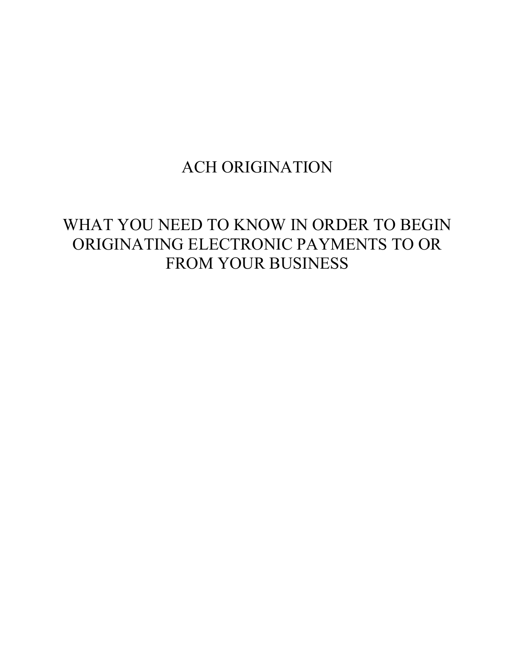# ACH ORIGINATION

# WHAT YOU NEED TO KNOW IN ORDER TO BEGIN ORIGINATING ELECTRONIC PAYMENTS TO OR FROM YOUR BUSINESS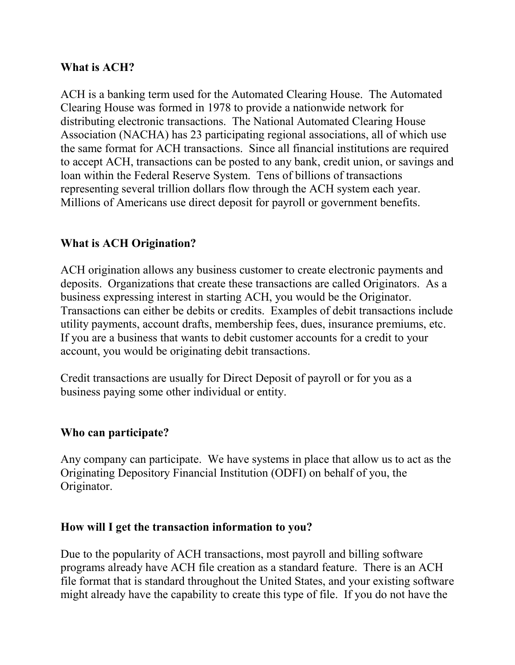### **What is ACH?**

ACH is a banking term used for the Automated Clearing House. The Automated Clearing House was formed in 1978 to provide a nationwide network for distributing electronic transactions. The National Automated Clearing House Association (NACHA) has 23 participating regional associations, all of which use the same format for ACH transactions. Since all financial institutions are required to accept ACH, transactions can be posted to any bank, credit union, or savings and loan within the Federal Reserve System. Tens of billions of transactions representing several trillion dollars flow through the ACH system each year. Millions of Americans use direct deposit for payroll or government benefits.

## **What is ACH Origination?**

ACH origination allows any business customer to create electronic payments and deposits. Organizations that create these transactions are called Originators. As a business expressing interest in starting ACH, you would be the Originator. Transactions can either be debits or credits. Examples of debit transactions include utility payments, account drafts, membership fees, dues, insurance premiums, etc. If you are a business that wants to debit customer accounts for a credit to your account, you would be originating debit transactions.

Credit transactions are usually for Direct Deposit of payroll or for you as a business paying some other individual or entity.

### **Who can participate?**

Any company can participate. We have systems in place that allow us to act as the Originating Depository Financial Institution (ODFI) on behalf of you, the Originator.

### **How will I get the transaction information to you?**

Due to the popularity of ACH transactions, most payroll and billing software programs already have ACH file creation as a standard feature. There is an ACH file format that is standard throughout the United States, and your existing software might already have the capability to create this type of file. If you do not have the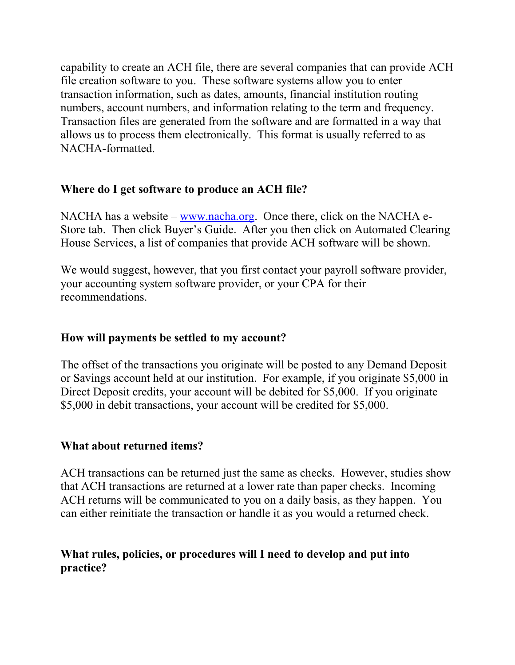capability to create an ACH file, there are several companies that can provide ACH file creation software to you. These software systems allow you to enter transaction information, such as dates, amounts, financial institution routing numbers, account numbers, and information relating to the term and frequency. Transaction files are generated from the software and are formatted in a way that allows us to process them electronically. This format is usually referred to as NACHA-formatted.

## **Where do I get software to produce an ACH file?**

NACHA has a website – [www.nacha.org.](http://www.nacha.org/) Once there, click on the NACHA e-Store tab. Then click Buyer's Guide. After you then click on Automated Clearing House Services, a list of companies that provide ACH software will be shown.

We would suggest, however, that you first contact your payroll software provider, your accounting system software provider, or your CPA for their recommendations.

## **How will payments be settled to my account?**

The offset of the transactions you originate will be posted to any Demand Deposit or Savings account held at our institution. For example, if you originate \$5,000 in Direct Deposit credits, your account will be debited for \$5,000. If you originate \$5,000 in debit transactions, your account will be credited for \$5,000.

### **What about returned items?**

ACH transactions can be returned just the same as checks. However, studies show that ACH transactions are returned at a lower rate than paper checks. Incoming ACH returns will be communicated to you on a daily basis, as they happen. You can either reinitiate the transaction or handle it as you would a returned check.

## **What rules, policies, or procedures will I need to develop and put into practice?**